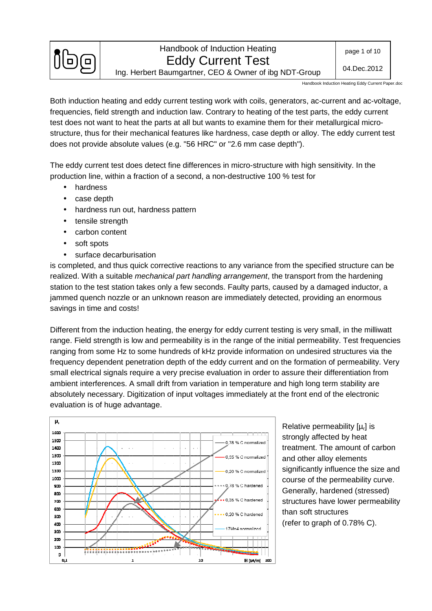

Ing. Herbert Baumgartner, CEO & Owner of ibg NDT-Group

Handbook Induction Heating Eddy Current Paper.doc

Both induction heating and eddy current testing work with coils, generators, ac-current and ac-voltage, frequencies, field strength and induction law. Contrary to heating of the test parts, the eddy current test does not want to heat the parts at all but wants to examine them for their metallurgical microstructure, thus for their mechanical features like hardness, case depth or alloy. The eddy current test does not provide absolute values (e.g. "56 HRC" or "2.6 mm case depth").

The eddy current test does detect fine differences in micro-structure with high sensitivity. In the production line, within a fraction of a second, a non-destructive 100 % test for

- hardness
- case depth
- hardness run out, hardness pattern
- tensile strength
- carbon content
- soft spots
- surface decarburisation

is completed, and thus quick corrective reactions to any variance from the specified structure can be realized. With a suitable *mechanical part handling arrangement*, the transport from the hardening station to the test station takes only a few seconds. Faulty parts, caused by a damaged inductor, a jammed quench nozzle or an unknown reason are immediately detected, providing an enormous savings in time and costs!

Different from the induction heating, the energy for eddy current testing is very small, in the milliwatt range. Field strength is low and permeability is in the range of the initial permeability. Test frequencies ranging from some Hz to some hundreds of kHz provide information on undesired structures via the frequency dependent penetration depth of the eddy current and on the formation of permeability. Very small electrical signals require a very precise evaluation in order to assure their differentiation from ambient interferences. A small drift from variation in temperature and high long term stability are absolutely necessary. Digitization of input voltages immediately at the front end of the electronic evaluation is of huge advantage.



Relative permeability  $[\mu_r]$  is strongly affected by heat treatment. The amount of carbon and other alloy elements significantly influence the size and course of the permeability curve. Generally, hardened (stressed) structures have lower permeability than soft structures (refer to graph of 0.78% C).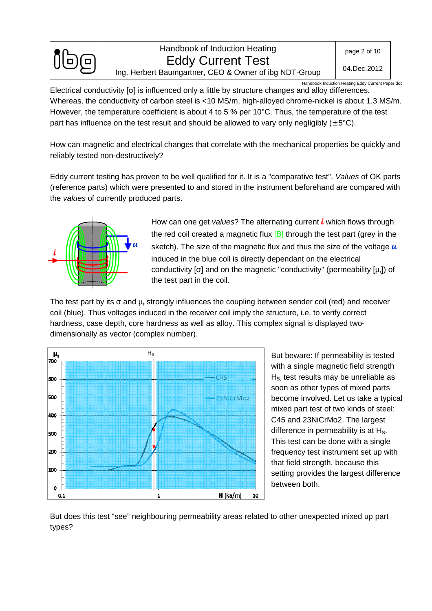

Handbook Induction Heating Eddy Current Paper.doc

Electrical conductivity [σ] is influenced only a little by structure changes and alloy differences. Whereas, the conductivity of carbon steel is <10 MS/m, high-alloyed chrome-nickel is about 1.3 MS/m. However, the temperature coefficient is about 4 to 5 % per 10°C. Thus, the temperature of the test part has influence on the test result and should be allowed to vary only negligibly  $(\pm 5^{\circ}C)$ .

How can magnetic and electrical changes that correlate with the mechanical properties be quickly and reliably tested non-destructively?

Eddy current testing has proven to be well qualified for it. It is a "comparative test". Values of OK parts (reference parts) which were presented to and stored in the instrument beforehand are compared with the values of currently produced parts.



How can one get values? The alternating current **i** which flows through the red coil created a magnetic flux  $[B]$  through the test part (grey in the sketch). The size of the magnetic flux and thus the size of the voltage **u** induced in the blue coil is directly dependant on the electrical conductivity [σ] and on the magnetic "conductivity" (permeability [μ<sub>r</sub>]) of the test part in the coil.

The test part by its  $\sigma$  and  $\mu_r$  strongly influences the coupling between sender coil (red) and receiver coil (blue). Thus voltages induced in the receiver coil imply the structure, i.e. to verify correct hardness, case depth, core hardness as well as alloy. This complex signal is displayed twodimensionally as vector (complex number).



But beware: If permeability is tested with a single magnetic field strength  $H<sub>s</sub>$  test results may be unreliable as soon as other types of mixed parts become involved. Let us take a typical mixed part test of two kinds of steel: C45 and 23NiCrMo2. The largest difference in permeability is at  $H<sub>S</sub>$ . This test can be done with a single frequency test instrument set up with that field strength, because this setting provides the largest difference between both.

But does this test "see" neighbouring permeability areas related to other unexpected mixed up part types?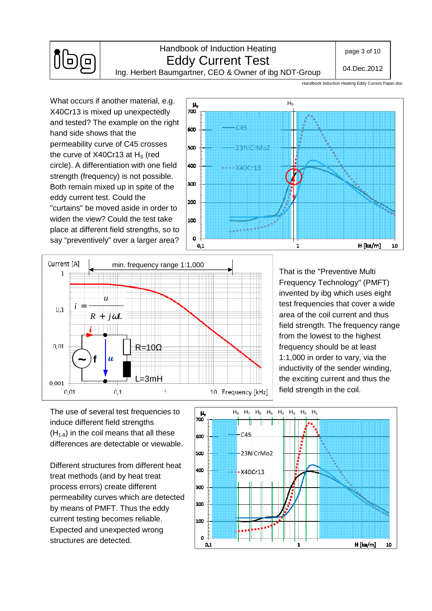

# Handbook of Induction Heating Eddy Current Test

page 3 of 10

04.Dec.2012

Ing. Herbert Baumgartner, CEO & Owner of ibg NDT-Group

Handbook Induction Heating Eddy Current Paper.doc

What occurs if another material, e.g. X40Cr13 is mixed up unexpectedly and tested? The example on the right hand side shows that the permeability curve of C45 crosses the curve of  $X40Cr13$  at  $H<sub>S</sub>$  (red circle). A differentiation with one field strength (frequency) is not possible. Both remain mixed up in spite of the eddy current test. Could the "curtains" be moved aside in order to widen the view? Could the test take place at different field strengths, so to say "preventively" over a larger area?





That is the "Preventive Multi Frequency Technology" (PMFT) invented by ibg which uses eight test frequencies that cover a wide area of the coil current and thus field strength. The frequency range from the lowest to the highest frequency should be at least 1:1,000 in order to vary, via the inductivity of the sender winding, the exciting current and thus the field strength in the coil.

The use of several test frequencies to induce different field strengths  $(H<sub>1-8</sub>)$  in the coil means that all these differences are detectable or viewable.

Different structures from different heat treat methods (and by heat treat process errors) create different permeability curves which are detected by means of PMFT. Thus the eddy current testing becomes reliable. Expected and unexpected wrong structures are detected.

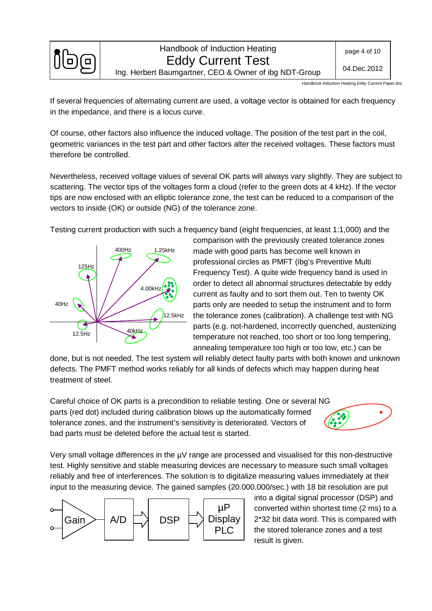

Handbook Induction Heating Eddy Current Paper.doc

If several frequencies of alternating current are used, a voltage vector is obtained for each frequency in the impedance, and there is a locus curve.

Of course, other factors also influence the induced voltage. The position of the test part in the coil, geometric variances in the test part and other factors alter the received voltages. These factors must therefore be controlled.

Nevertheless, received voltage values of several OK parts will always vary slightly. They are subject to scattering. The vector tips of the voltages form a cloud (refer to the green dots at 4 kHz). If the vector tips are now enclosed with an elliptic tolerance zone, the test can be reduced to a comparison of the vectors to inside (OK) or outside (NG) of the tolerance zone.

Testing current production with such a frequency band (eight frequencies, at least 1:1,000) and the



comparison with the previously created tolerance zones made with good parts has become well known in professional circles as PMFT (ibg's Preventive Multi Frequency Test). A quite wide frequency band is used in order to detect all abnormal structures detectable by eddy current as faulty and to sort them out. Ten to twenty OK parts only are needed to setup the instrument and to form the tolerance zones (calibration). A challenge test with NG parts (e.g. not-hardened, incorrectly quenched, austenizing temperature not reached, too short or too long tempering, annealing temperature too high or too low, etc.) can be

done, but is not needed. The test system will reliably detect faulty parts with both known and unknown defects. The PMFT method works reliably for all kinds of defects which may happen during heat treatment of steel.

Careful choice of OK parts is a precondition to reliable testing. One or several NG parts (red dot) included during calibration blows up the automatically formed tolerance zones, and the instrument's sensitivity is deteriorated. Vectors of bad parts must be deleted before the actual test is started.



Very small voltage differences in the  $\mu$ V range are processed and visualised for this non-destructive test. Highly sensitive and stable measuring devices are necessary to measure such small voltages reliably and free of interferences. The solution is to digitalize measuring values immediately at their input to the measuring device. The gained samples (20.000.000/sec.) with 18 bit resolution are put



into a digital signal processor (DSP) and converted within shortest time (2 ms) to a 2\*32 bit data word. This is compared with the stored tolerance zones and a test result is given.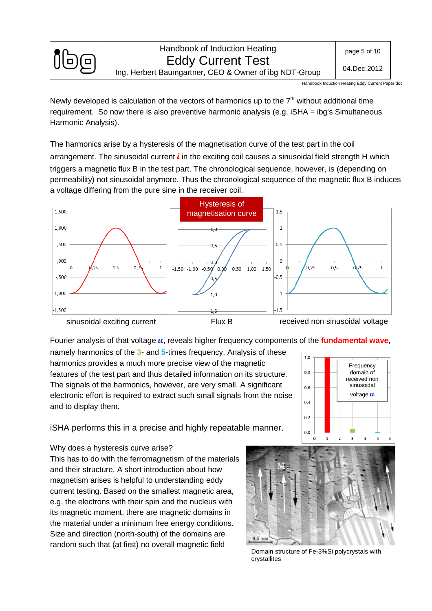

Handbook Induction Heating Eddy Current Paper.doc

Newly developed is calculation of the vectors of harmonics up to the  $7<sup>th</sup>$  without additional time requirement. So now there is also preventive harmonic analysis (e.g. iSHA = ibg's Simultaneous Harmonic Analysis).

The harmonics arise by a hysteresis of the magnetisation curve of the test part in the coil arrangement. The sinusoidal current **i** in the exciting coil causes a sinusoidal field strength H which triggers a magnetic flux B in the test part. The chronological sequence, however, is (depending on permeability) not sinusoidal anymore. Thus the chronological sequence of the magnetic flux B induces a voltage differing from the pure sine in the receiver coil.



Fourier analysis of that voltage **u**, reveals higher frequency components of the **fundamental wave**,

namely harmonics of the **3**- and **5**-times frequency. Analysis of these harmonics provides a much more precise view of the magnetic features of the test part and thus detailed information on its structure. The signals of the harmonics, however, are very small. A significant electronic effort is required to extract such small signals from the noise and to display them.

Frequency  $0,8$ domain of received non sinusoidal  $06$ voltage **u** $0.4$  $0.2$  $_{0,0}$ 

iSHA performs this in a precise and highly repeatable manner.

#### Why does a hysteresis curve arise?

This has to do with the ferromagnetism of the materials and their structure. A short introduction about how magnetism arises is helpful to understanding eddy current testing. Based on the smallest magnetic area, e.g. the electrons with their spin and the nucleus with its magnetic moment, there are magnetic domains in the material under a minimum free energy conditions. Size and direction (north-south) of the domains are random such that (at first) no overall magnetic field



 $1.0$ 

Domain structure of Fe-3%Si polycrystals with crystallites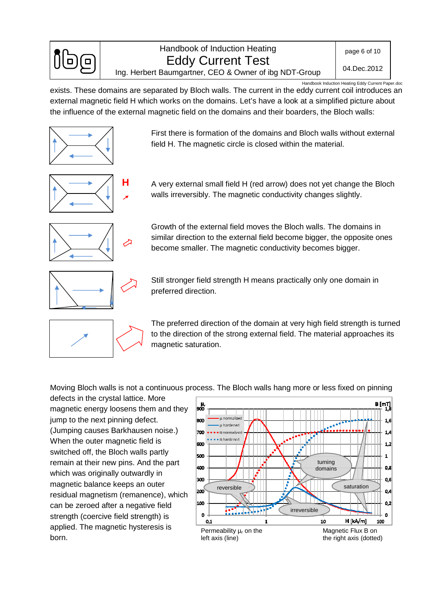

Handbook Induction Heating Eddy Current Paper.doc

exists. These domains are separated by Bloch walls. The current in the eddy current coil introduces an external magnetic field H which works on the domains. Let's have a look at a simplified picture about the influence of the external magnetic field on the domains and their boarders, the Bloch walls:



First there is formation of the domains and Bloch walls without external field H. The magnetic circle is closed within the material.



A very external small field H (red arrow) does not yet change the Bloch walls irreversibly. The magnetic conductivity changes slightly.



Growth of the external field moves the Bloch walls. The domains in similar direction to the external field become bigger, the opposite ones become smaller. The magnetic conductivity becomes bigger.

Still stronger field strength H means practically only one domain in preferred direction.

The preferred direction of the domain at very high field strength is turned to the direction of the strong external field. The material approaches its magnetic saturation.

Moving Bloch walls is not a continuous process. The Bloch walls hang more or less fixed on pinning

defects in the crystal lattice. More magnetic energy loosens them and they jump to the next pinning defect. (Jumping causes Barkhausen noise.) When the outer magnetic field is switched off, the Bloch walls partly remain at their new pins. And the part which was originally outwardly in magnetic balance keeps an outer residual magnetism (remanence), which can be zeroed after a negative field strength (coercive field strength) is applied. The magnetic hysteresis is born.

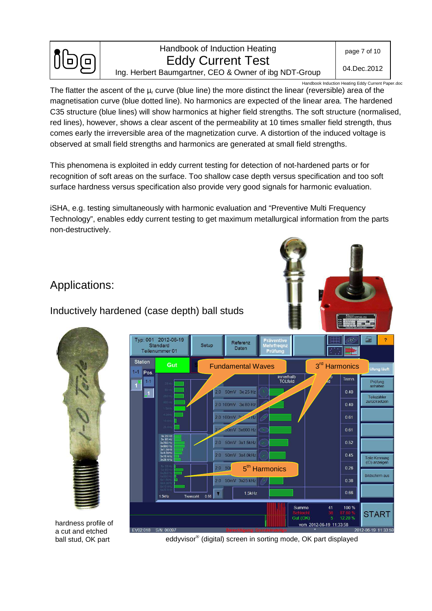

page 7 of 10

04.Dec.2012

Handbook Induction Heating Eddy Current Paper.doc

The flatter the ascent of the  $\mu_r$  curve (blue line) the more distinct the linear (reversible) area of the magnetisation curve (blue dotted line). No harmonics are expected of the linear area. The hardened C35 structure (blue lines) will show harmonics at higher field strengths. The soft structure (normalised, red lines), however, shows a clear ascent of the permeability at 10 times smaller field strength, thus comes early the irreversible area of the magnetization curve. A distortion of the induced voltage is observed at small field strengths and harmonics are generated at small field strengths.

This phenomena is exploited in eddy current testing for detection of not-hardened parts or for recognition of soft areas on the surface. Too shallow case depth versus specification and too soft surface hardness versus specification also provide very good signals for harmonic evaluation.

iSHA, e.g. testing simultaneously with harmonic evaluation and "Preventive Multi Frequency Technology", enables eddy current testing to get maximum metallurgical information from the parts non-destructively.

# Applications:

Inductively hardened (case depth) ball studs





hardness profile of a cut and etched ball stud, OK part

eddyvisor® (digital) screen in sorting mode, OK part displayed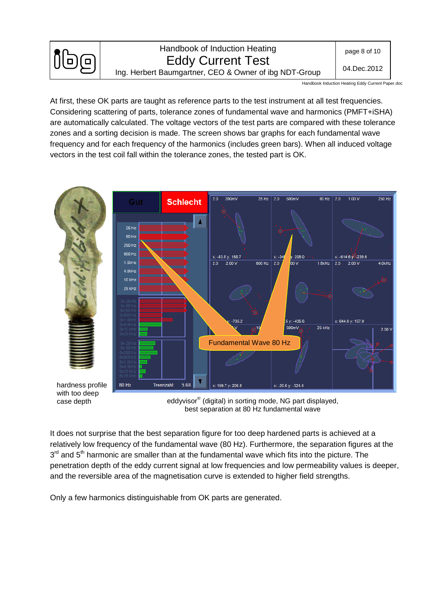

Ing. Herbert Baumgartner, CEO & Owner of ibg NDT-Group

Handbook Induction Heating Eddy Current Paper.doc

At first, these OK parts are taught as reference parts to the test instrument at all test frequencies. Considering scattering of parts, tolerance zones of fundamental wave and harmonics (PMFT+iSHA) are automatically calculated. The voltage vectors of the test parts are compared with these tolerance zones and a sorting decision is made. The screen shows bar graphs for each fundamental wave frequency and for each frequency of the harmonics (includes green bars). When all induced voltage vectors in the test coil fall within the tolerance zones, the tested part is OK.



with too deep case depth

eddyvisor® (digital) in sorting mode, NG part displayed, best separation at 80 Hz fundamental wave

It does not surprise that the best separation figure for too deep hardened parts is achieved at a relatively low frequency of the fundamental wave (80 Hz). Furthermore, the separation figures at the 3<sup>rd</sup> and 5<sup>th</sup> harmonic are smaller than at the fundamental wave which fits into the picture. The penetration depth of the eddy current signal at low frequencies and low permeability values is deeper, and the reversible area of the magnetisation curve is extended to higher field strengths.

Only a few harmonics distinguishable from OK parts are generated.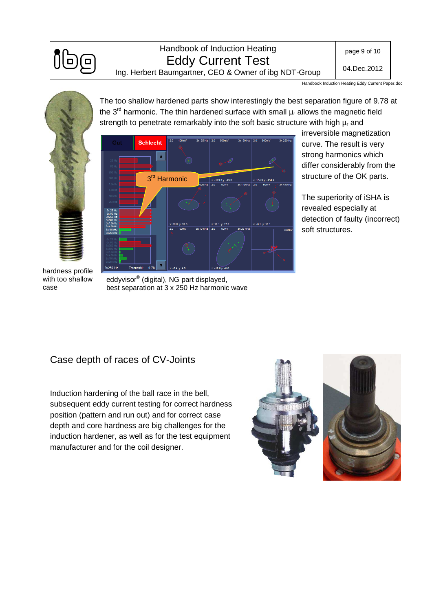

### Handbook of Induction Heating Eddy Current Test

page 9 of 10

04.Dec.2012

Ing. Herbert Baumgartner, CEO & Owner of ibg NDT-Group

strength to penetrate remarkably into the soft basic structure with high  $\mu_r$  and

The too shallow hardened parts show interestingly the best separation figure of 9.78 at the 3<sup>rd</sup> harmonic. The thin hardened surface with small  $\mu_r$  allows the magnetic field

Handbook Induction Heating Eddy Current Paper.doc





irreversible magnetization curve. The result is very strong harmonics which differ considerably from the structure of the OK parts.

The superiority of iSHA is revealed especially at detection of faulty (incorrect) soft structures.

hardness profile with too shallow case

eddyvisor® (digital), NG part displayed, best separation at 3 x 250 Hz harmonic wave

## Case depth of races of CV-Joints

Induction hardening of the ball race in the bell, subsequent eddy current testing for correct hardness position (pattern and run out) and for correct case depth and core hardness are big challenges for the induction hardener, as well as for the test equipment manufacturer and for the coil designer.